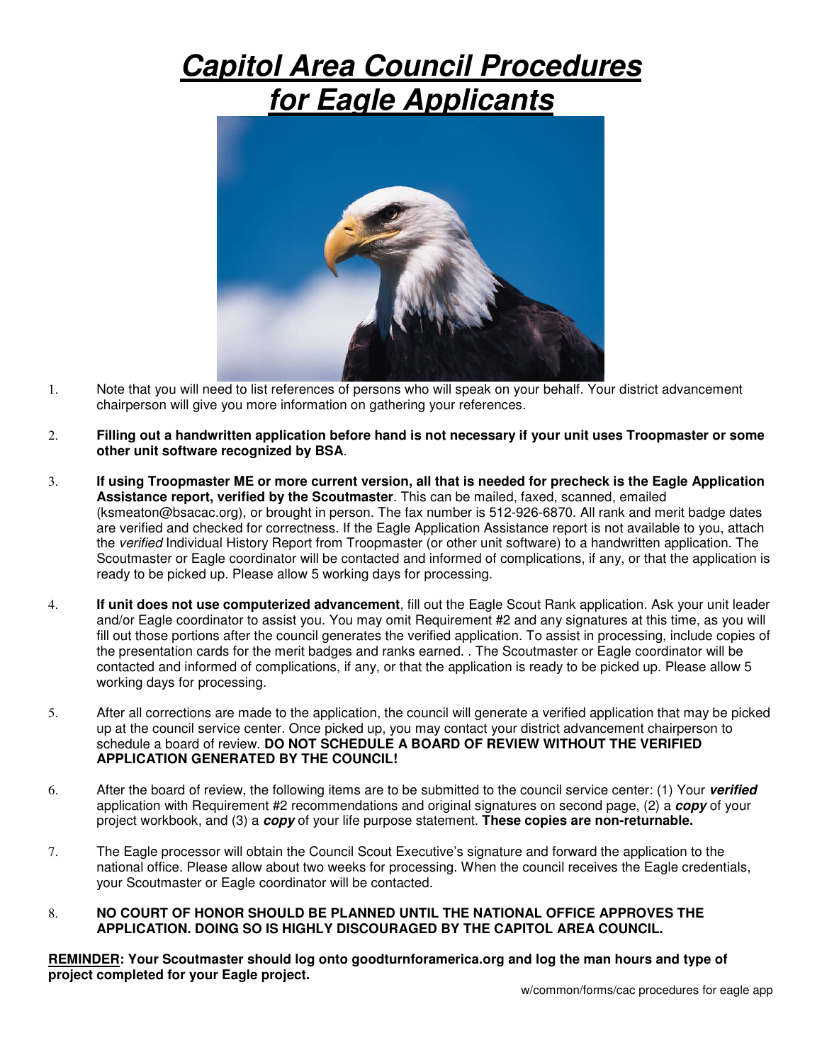## **Capitol Area Council Procedures for Eagle Applicants**



- 1. Note that you will need to list references of persons who will speak on your behalf. Your district advancement chairperson will give you more information on gathering your references.
- 2. **Filling out a handwritten application before hand is not necessary if your unit uses Troopmaster or some other unit software recognized by BSA**.
- 3. **If using Troopmaster ME or more current version, all that is needed for precheck is the Eagle Application Assistance report, verified by the Scoutmaster**. This can be mailed, faxed, scanned, emailed (ksmeaton@bsacac.org), or brought in person. The fax number is 512-926-6870. All rank and merit badge dates are verified and checked for correctness. If the Eagle Application Assistance report is not available to you, attach the verified Individual History Report from Troopmaster (or other unit software) to a handwritten application. The Scoutmaster or Eagle coordinator will be contacted and informed of complications, if any, or that the application is ready to be picked up. Please allow 5 working days for processing.
- 4. **If unit does not use computerized advancement**, fill out the Eagle Scout Rank application. Ask your unit leader and/or Eagle coordinator to assist you. You may omit Requirement #2 and any signatures at this time, as you will fill out those portions after the council generates the verified application. To assist in processing, include copies of the presentation cards for the merit badges and ranks earned. . The Scoutmaster or Eagle coordinator will be contacted and informed of complications, if any, or that the application is ready to be picked up. Please allow 5 working days for processing.
- 5. After all corrections are made to the application, the council will generate a verified application that may be picked up at the council service center. Once picked up, you may contact your district advancement chairperson to schedule a board of review. **DO NOT SCHEDULE A BOARD OF REVIEW WITHOUT THE VERIFIED APPLICATION GENERATED BY THE COUNCIL!**
- 6. After the board of review, the following items are to be submitted to the council service center: (1) Your **verified**  application with Requirement #2 recommendations and original signatures on second page, (2) a **copy** of your project workbook, and (3) a **copy** of your life purpose statement. **These copies are non-returnable.**
- 7. The Eagle processor will obtain the Council Scout Executive's signature and forward the application to the national office. Please allow about two weeks for processing. When the council receives the Eagle credentials, your Scoutmaster or Eagle coordinator will be contacted.

## 8. **NO COURT OF HONOR SHOULD BE PLANNED UNTIL THE NATIONAL OFFICE APPROVES THE APPLICATION. DOING SO IS HIGHLY DISCOURAGED BY THE CAPITOL AREA COUNCIL.**

**REMINDER: Your Scoutmaster should log onto goodturnforamerica.org and log the man hours and type of project completed for your Eagle project.**